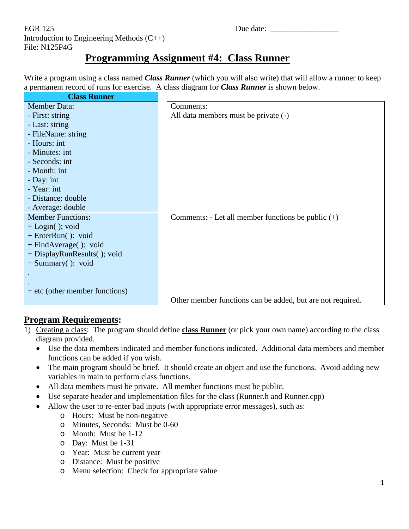EGR 125 Due date: Introduction to Engineering Methods (C++) File: N125P4G

## **Programming Assignment #4: Class Runner**

Write a program using a class named *Class Runner* (which you will also write) that will allow a runner to keep a permanent record of runs for exercise. A class diagram for *Class Runner* is shown below.

| <b>Class Runner</b>              |                                                            |
|----------------------------------|------------------------------------------------------------|
| <b>Member Data:</b>              | Comments:                                                  |
| - First: string                  | All data members must be private (-)                       |
| - Last: string                   |                                                            |
| - FileName: string               |                                                            |
| - Hours: int                     |                                                            |
| - Minutes: int                   |                                                            |
| - Seconds: int                   |                                                            |
| - Month: int                     |                                                            |
| - Day: int                       |                                                            |
| - Year: int                      |                                                            |
| - Distance: double               |                                                            |
| - Average: double                |                                                            |
| <b>Member Functions:</b>         | Comments: - Let all member functions be public $(+)$       |
| $+$ Login(); void                |                                                            |
| + EnterRun(): void               |                                                            |
| $+ FindAverage()$ : void         |                                                            |
| + DisplayRunResults(); void      |                                                            |
| $+$ Summary(): void              |                                                            |
|                                  |                                                            |
|                                  |                                                            |
| $+$ etc (other member functions) |                                                            |
|                                  | Other member functions can be added, but are not required. |

## **Program Requirements:**

- 1) Creating a class: The program should define **class Runner** (or pick your own name) according to the class diagram provided.
	- Use the data members indicated and member functions indicated. Additional data members and member functions can be added if you wish.
	- The main program should be brief. It should create an object and use the functions. Avoid adding new variables in main to perform class functions.
	- All data members must be private. All member functions must be public.
	- Use separate header and implementation files for the class (Runner.h and Runner.cpp)
	- Allow the user to re-enter bad inputs (with appropriate error messages), such as:
		- o Hours: Must be non-negative
		- o Minutes, Seconds: Must be 0-60
		- o Month: Must be 1-12
		- o Day: Must be 1-31
		- o Year: Must be current year
		- o Distance: Must be positive
		- o Menu selection: Check for appropriate value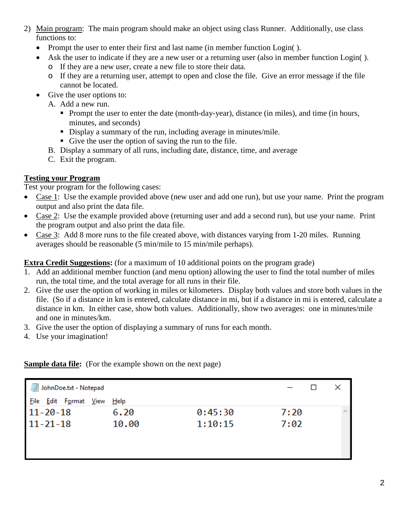- 2) Main program: The main program should make an object using class Runner. Additionally, use class functions to:
	- Prompt the user to enter their first and last name (in member function Login().
	- Ask the user to indicate if they are a new user or a returning user (also in member function Login().
		- o If they are a new user, create a new file to store their data.
		- o If they are a returning user, attempt to open and close the file. Give an error message if the file cannot be located.
	- Give the user options to:
		- A. Add a new run.
			- Prompt the user to enter the date (month-day-year), distance (in miles), and time (in hours, minutes, and seconds)
			- Display a summary of the run, including average in minutes/mile.
			- Give the user the option of saving the run to the file.
		- B. Display a summary of all runs, including date, distance, time, and average
		- C. Exit the program.

## **Testing your Program**

Test your program for the following cases:

- Case 1: Use the example provided above (new user and add one run), but use your name. Print the program output and also print the data file.
- Case 2: Use the example provided above (returning user and add a second run), but use your name. Print the program output and also print the data file.
- Case 3: Add 8 more runs to the file created above, with distances varying from 1-20 miles. Running averages should be reasonable (5 min/mile to 15 min/mile perhaps).

**Extra Credit Suggestions:** (for a maximum of 10 additional points on the program grade)

- 1. Add an additional member function (and menu option) allowing the user to find the total number of miles run, the total time, and the total average for all runs in their file.
- 2. Give the user the option of working in miles or kilometers. Display both values and store both values in the file. (So if a distance in km is entered, calculate distance in mi, but if a distance in mi is entered, calculate a distance in km. In either case, show both values. Additionally, show two averages: one in minutes/mile and one in minutes/km.
- 3. Give the user the option of displaying a summary of runs for each month.
- 4. Use your imagination!

**Sample data file:** (For the example shown on the next page)

| JohnDoe.txt - Notepad      |       |         |      | $\Box$ |                 |
|----------------------------|-------|---------|------|--------|-----------------|
| File Edit Format View Help |       |         |      |        |                 |
| $11 - 20 - 18$             | 6.20  | 0:45:30 | 7:20 |        | $\rho_{\rm{b}}$ |
| $11 - 21 - 18$             | 10.00 | 1:10:15 | 7:02 |        |                 |
|                            |       |         |      |        |                 |
|                            |       |         |      |        |                 |
|                            |       |         |      |        |                 |